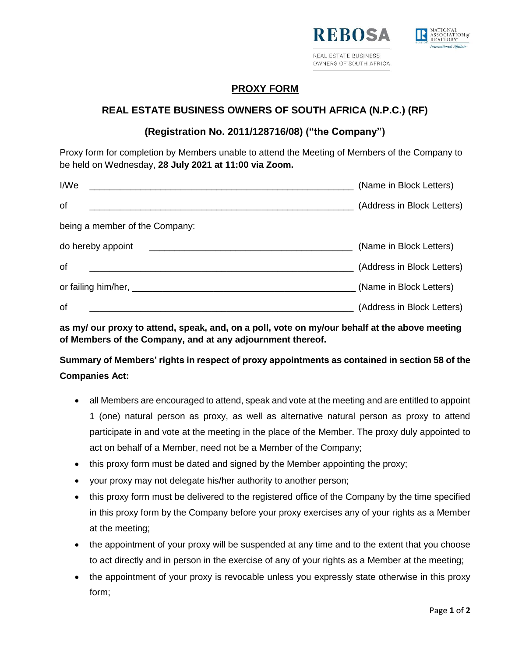



## **PROXY FORM**

## **REAL ESTATE BUSINESS OWNERS OF SOUTH AFRICA (N.P.C.) (RF)**

## **(Registration No. 2011/128716/08) ("the Company")**

Proxy form for completion by Members unable to attend the Meeting of Members of the Company to be held on Wednesday, **28 July 2021 at 11:00 via Zoom.**

| I/We                                                                            | (Name in Block Letters)    |
|---------------------------------------------------------------------------------|----------------------------|
| of                                                                              | (Address in Block Letters) |
| being a member of the Company:                                                  |                            |
| do hereby appoint<br><u> 1980 - John Stein, Amerikaansk politiker (</u> † 1920) | (Name in Block Letters)    |
| of                                                                              | (Address in Block Letters) |
|                                                                                 | (Name in Block Letters)    |
| of                                                                              | (Address in Block Letters) |

**as my/ our proxy to attend, speak, and, on a poll, vote on my/our behalf at the above meeting of Members of the Company, and at any adjournment thereof.**

**Summary of Members' rights in respect of proxy appointments as contained in section 58 of the Companies Act:**

- all Members are encouraged to attend, speak and vote at the meeting and are entitled to appoint 1 (one) natural person as proxy, as well as alternative natural person as proxy to attend participate in and vote at the meeting in the place of the Member. The proxy duly appointed to act on behalf of a Member, need not be a Member of the Company;
- this proxy form must be dated and signed by the Member appointing the proxy;
- your proxy may not delegate his/her authority to another person;
- this proxy form must be delivered to the registered office of the Company by the time specified in this proxy form by the Company before your proxy exercises any of your rights as a Member at the meeting;
- the appointment of your proxy will be suspended at any time and to the extent that you choose to act directly and in person in the exercise of any of your rights as a Member at the meeting;
- the appointment of your proxy is revocable unless you expressly state otherwise in this proxy form;